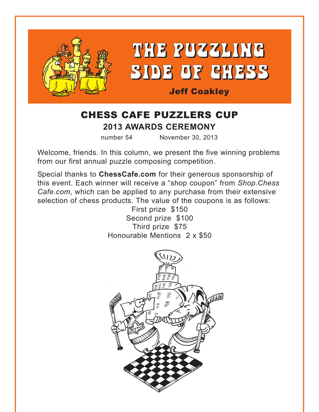



Jeff Coakley

# CHESS CAFE PUZZLERS CUP **2013 AWARDS CEREMONY**

number 54 November 30, 2013

Welcome, friends. In this column, we present the five winning problems from our first annual puzzle composing competition.

Special thanks to **ChessCafe.com** for their generous sponsorship of this event. Each winner will receive a "shop coupon" from *Shop.Chess Cafe.com*, which can be applied to any purchase from their extensive selection of chess products. The value of the coupons is as follows:

> First prize \$150 Second prize \$100 Third prize \$75 Honourable Mentions 2 x \$50

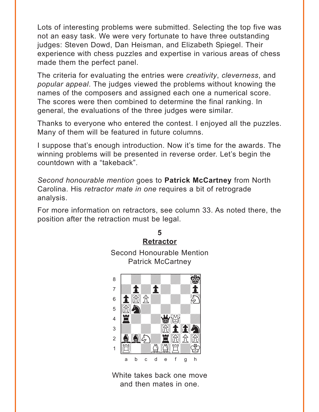<span id="page-1-0"></span>Lots of interesting problems were submitted. Selecting the top five was not an easy task. We were very fortunate to have three outstanding judges: Steven Dowd, Dan Heisman, and Elizabeth Spiegel. Their experience with chess puzzles and expertise in various areas of chess made them the perfect panel.

The criteria for evaluating the entries were creativity, cleverness, and popular appeal. The judges viewed the problems without knowing the names of the composers and assigned each one a numerical score. The scores were then combined to determine the final ranking. In general, the evaluations of the three judges were similar.

Thanks to everyone who entered the contest. I enjoyed all the puzzles. Many of them will be featured in future columns.

I suppose that's enough introduction. Now it's time for the awards. The winning problems will be presented in reverse order. Let's begin the countdown with a "takeback".

Second honourable mention goes to **Patrick McCartney** from North Carolina. His retractor mate in one requires a bit of retrograde analysis.

For more information on retractors, see column 33. As noted there, the position after the retraction must be legal.

> 5 **Retractor**



White takes back one move and then mates in one.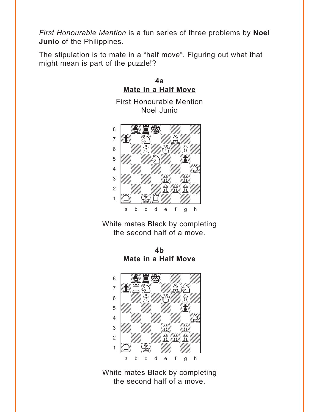<span id="page-2-0"></span>*First Honourable Mention* is a fun series of three problems by **Noel Junio** of the Philippines.

The stipulation is to mate in a "half move". Figuring out what that might mean is part of the puzzle!?



White mates Black by completing the second half of a move.

**4b [Mate in a Half Move](#page-11-0)**



White mates Black by completing the second half of a move.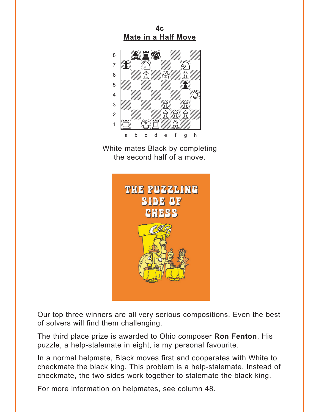$4<sub>c</sub>$ **Mate in a Half Move** 

<span id="page-3-0"></span>

White mates Black by completing the second half of a move.



Our top three winners are all very serious compositions. Even the best of solvers will find them challenging.

The third place prize is awarded to Ohio composer Ron Fenton. His puzzle, a help-stalemate in eight, is my personal favourite.

In a normal helpmate, Black moves first and cooperates with White to checkmate the black king. This problem is a help-stalemate. Instead of checkmate, the two sides work together to stalemate the black king.

For more information on helpmates, see column 48.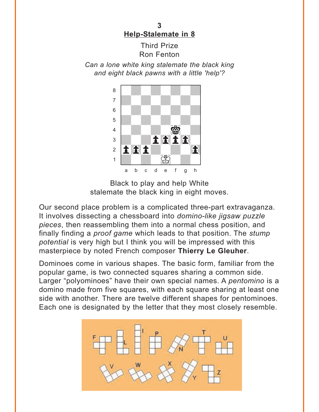**3 [Help-Stalemate in 8](#page-12-0)**

#### Third Prize Ron Fenton

<span id="page-4-0"></span>*Can a lone white king stalemate the black king and eight black pawns with a little 'help'?*



Black to play and help White stalemate the black king in eight moves.

Our second place problem is a complicated three-part extravaganza. It involves dissecting a chessboard into *domino-like jigsaw puzzle pieces*, then reassembling them into a normal chess position, and finally finding a *proof game* which leads to that position. The *stump potential* is very high but I think you will be impressed with this masterpiece by noted French composer **Thierry Le Gleuher**.

Dominoes come in various shapes. The basic form, familiar from the popular game, is two connected squares sharing a common side. Larger "polyominoes" have their own special names. A *pentomino* is a domino made from five squares, with each square sharing at least one side with another. There are twelve different shapes for pentominoes. Each one is designated by the letter that they most closely resemble.

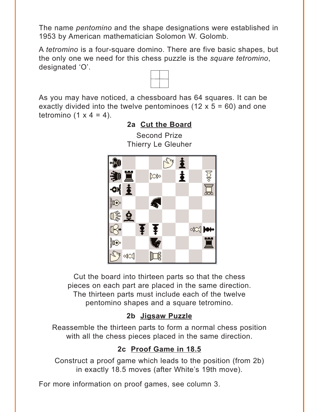<span id="page-5-0"></span>The name *pentomino* and the shape designations were established in 1953 by American mathematician Solomon W. Golomb.

A *tetromino* is a four-square domino. There are five basic shapes, but the only one we need for this chess puzzle is the *square tetromino*, designated 'O'.





**[2a Cut the Board](#page-13-0)** Second Prize

Cut the board into thirteen parts so that the chess pieces on each part are placed in the same direction. The thirteen parts must include each of the twelve pentomino shapes and a square tetromino.

#### **[2b Jigsaw Puzzle](#page-13-0)**

Reassemble the thirteen parts to form a normal chess position with all the chess pieces placed in the same direction.

## **[2c Proof Game in 18.5](#page-14-0)**

Construct a proof game which leads to the position (from 2b) in exactly 18.5 moves (after White's 19th move).

For more information on proof games, see column 3.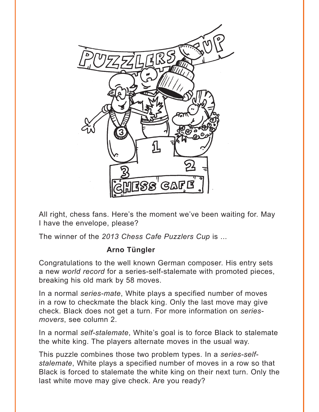<span id="page-6-0"></span>

All right, chess fans. Here's the moment we've been waiting for. May I have the envelope, please?

The winner of the *2013 Chess Cafe Puzzlers Cup* is ...

### **Arno Tüngler**

Congratulations to the well known German composer. His entry sets a new *world record* for a series-self-stalemate with promoted pieces, breaking his old mark by 58 moves.

In a normal *series-mate*, White plays a specified number of moves in a row to checkmate the black king. Only the last move may give check. Black does not get a turn. For more information on *seriesmovers*, see column 2.

In a normal *self-stalemate*, White's goal is to force Black to stalemate the white king. The players alternate moves in the usual way.

This puzzle combines those two problem types. In a *series-selfstalemate*, White plays a specified number of moves in a row so that Black is forced to stalemate the white king on their next turn. Only the last white move may give check. Are you ready?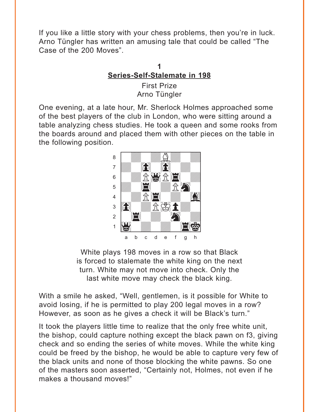<span id="page-7-0"></span>If you like a little story with your chess problems, then you're in luck. Arno Tüngler has written an amusing tale that could be called "The Case of the 200 Moves".

## **1 [Series-Self-Stalemate in 198](#page-15-0)**

First Prize Arno Tüngler

One evening, at a late hour, Mr. Sherlock Holmes approached some of the best players of the club in London, who were sitting around a table analyzing chess studies. He took a queen and some rooks from the boards around and placed them with other pieces on the table in the following position.



White plays 198 moves in a row so that Black is forced to stalemate the white king on the next turn. White may not move into check. Only the last white move may check the black king.

With a smile he asked, "Well, gentlemen, is it possible for White to avoid losing, if he is permitted to play 200 legal moves in a row? However, as soon as he gives a check it will be Black's turn."

It took the players little time to realize that the only free white unit, the bishop, could capture nothing except the black pawn on f3, giving check and so ending the series of white moves. While the white king could be freed by the bishop, he would be able to capture very few of the black units and none of those blocking the white pawns. So one of the masters soon asserted, "Certainly not, Holmes, not even if he makes a thousand moves!"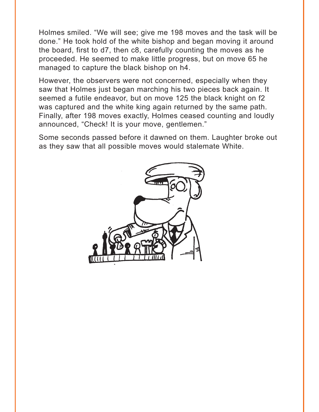Holmes smiled. "We will see; give me 198 moves and the task will be done." He took hold of the white bishop and began moving it around the board, first to d7, then c8, carefully counting the moves as he proceeded. He seemed to make little progress, but on move 65 he managed to capture the black bishop on h4.

However, the observers were not concerned, especially when they saw that Holmes just began marching his two pieces back again. It seemed a futile endeavor, but on move 125 the black knight on f2 was captured and the white king again returned by the same path. Finally, after 198 moves exactly, Holmes ceased counting and loudly announced, "Check! It is your move, gentlemen."

Some seconds passed before it dawned on them. Laughter broke out as they saw that all possible moves would stalemate White.

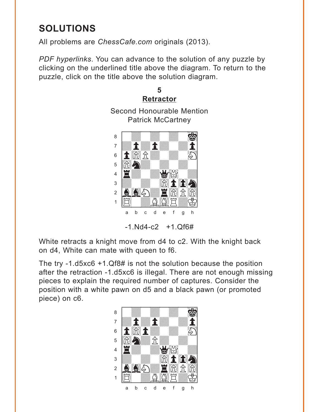# <span id="page-9-0"></span>**SOLUTIONS**

All problems are ChessCafe.com originals (2013).

PDF hyperlinks. You can advance to the solution of any puzzle by clicking on the underlined title above the diagram. To return to the puzzle, click on the title above the solution diagram.



White retracts a knight move from d4 to c2. With the knight back on d4, White can mate with queen to f6.

The try -1. $d5xc6 + 1.Qf8#$  is not the solution because the position after the retraction -1.d5xc6 is illegal. There are not enough missing pieces to explain the required number of captures. Consider the position with a white pawn on d5 and a black pawn (or promoted piece) on c6.

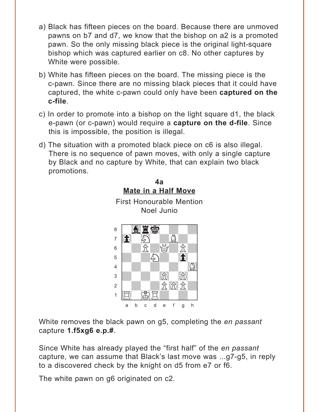- <span id="page-10-0"></span>a) Black has fifteen pieces on the board. Because there are unmoved pawns on b7 and d7, we know that the bishop on a2 is a promoted pawn. So the only missing black piece is the original light-square bishop which was captured earlier on c8. No other captures by White were possible.
- b) White has fifteen pieces on the board. The missing piece is the c-pawn. Since there are no missing black pieces that it could have captured, the white c-pawn could only have been captured on the c-file.
- c) In order to promote into a bishop on the light square d1, the black e-pawn (or c-pawn) would require a **capture on the d-file**. Since this is impossible, the position is illegal.
- d) The situation with a promoted black piece on c6 is also illegal. There is no sequence of pawn moves, with only a single capture by Black and no capture by White, that can explain two black promotions.



White removes the black pawn on g5, completing the en passant capture  $1.5xg6$  e.p.#.

Since White has already played the "first half" of the en passant capture, we can assume that Black's last move was ...g7-g5, in reply to a discovered check by the knight on d5 from e7 or f6.

The white pawn on g6 originated on c2.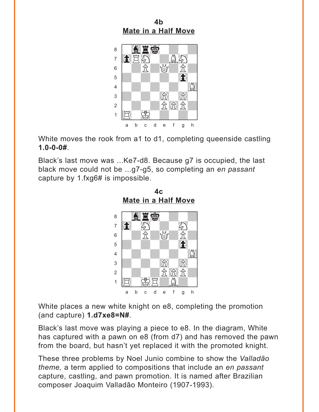<span id="page-11-0"></span>**4b [Mate in a Half Move](#page-2-0)**



White moves the rook from a1 to d1, completing queenside castling **1.0-0-0#**.

Black's last move was ...Ke7-d8. Because g7 is occupied, the last black move could not be ...g7-g5, so completing an *en passant* capture by 1.fxg6# is impossible.

**[Mate in a Half Move](#page-3-0)** <u>wave in a rian more</u>  $\sim$   $\sim$   $\sim$   $\sim$   $\sim$   $\sim$   $\sim$   $\sim$ à0wHwdwHw]  $6$   $\frac{1}{2}$   $\frac{1}{2}$   $\frac{1}{2}$   $\frac{1}{2}$   $\frac{1}{2}$   $\frac{1}{2}$   $\frac{1}{2}$   $\frac{1}{2}$   $\frac{1}{2}$   $\frac{1}{2}$   $\frac{1}{2}$   $\frac{1}{2}$   $\frac{1}{2}$   $\frac{1}{2}$   $\frac{1}{2}$   $\frac{1}{2}$   $\frac{1}{2}$   $\frac{1}{2}$   $\frac{1}{2}$   $\frac{1}{2}$   $\frac{1}{2}$   $\frac{1}{2$  $\mathbf{F}$ 4 *William William Charles 1944*  $\frac{1}{2}$  with  $\frac{1}{2}$  with  $\frac{1}{2}$  with  $\frac{1}{2}$ 2 | *William William St 18*24, St  $\frac{1}{\sum_{i=1}^{n}a_i}\sum_{j=1}^{n}a_j\sum_{j=1}^{n}a_j\sum_{j=1}^{n}a_j\sum_{j=1}^{n}a_j\sum_{j=1}^{n}a_j\sum_{j=1}^{n}a_j\sum_{j=1}^{n}a_j\sum_{j=1}^{n}a_j\sum_{j=1}^{n}a_j\sum_{j=1}^{n}a_j\sum_{j=1}^{n}a_j\sum_{j=1}^{n}a_j\sum_{j=1}^{n}a_j\sum_{j=1}^{n}a_j\sum_{j=1}^{n}a_j\sum_{j=1}^{n}a_j\sum_{j=1}^{n}a$ a b c d e f g h

**4c**

White places a new white knight on e8, completing the promotion (and capture) **1.d7xe8=N#**.

Black's last move was playing a piece to e8. In the diagram, White has captured with a pawn on e8 (from d7) and has removed the pawn from the board, but hasn't yet replaced it with the promoted knight.

These three problems by Noel Junio combine to show the *Valladão theme,* a term applied to compositions that include an *en passant* capture, castling, and pawn promotion. It is named after Brazilian composer Joaquim Valladão Monteiro (1907-1993).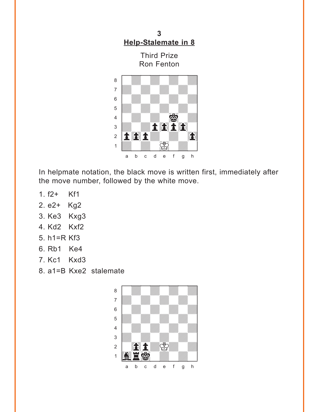<span id="page-12-0"></span>**3 [Help-Stalemate in 8](#page-4-0)**

Third Prize Ron Fenton



In helpmate notation, the black move is written first, immediately after the move number, followed by the white move.

- 1. f2+ Kf1
- 2. e2+ Kg2
- 3. Ke3 Kxg3
- 4. Kd2 Kxf2
- 5. h1=R Kf3
- 6. Rb1 Ke4
- 7. Kc1 Kxd3
- 8. a1=B Kxe2 stalemate

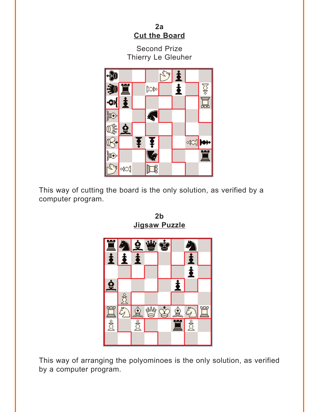#### **2a [Cut the Board](#page-5-0)**

Second Prize Thierry Le Gleuher

<span id="page-13-0"></span>

This way of cutting the board is the only solution, as verified by a computer program.



**2b [Jigsaw Puzzle](#page-5-0)**

This way of arranging the polyominoes is the only solution, as verified by a computer program.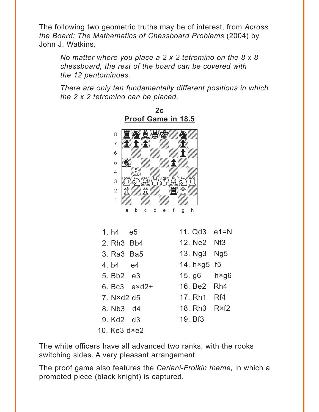<span id="page-14-0"></span>The following two geometric truths may be of interest, from Across the Board: The Mathematics of Chessboard Problems (2004) by John J. Watkins.

No matter where you place a  $2 \times 2$  tetromino on the  $8 \times 8$ chessboard, the rest of the board can be covered with the 12 pentominoes.

There are only ten fundamentally different positions in which the 2 x 2 tetromino can be placed.

 $2c$ 



| 1. h4 e5                           |                | 11. $Qd3$ e1=N         |  |
|------------------------------------|----------------|------------------------|--|
| 2. Rh <sub>3</sub> Bb <sub>4</sub> |                | 12. Ne2 Nf3            |  |
| 3. Ra3 Ba5                         |                | 13. Ng3 Ng5            |  |
| 4. b4 e4                           |                | 14. $h \times g5$ f5   |  |
| 5. Bb2 e3                          |                | $15.$ g6 $h \times g6$ |  |
|                                    | 6. Bc3 $exd2+$ | 16. Be2 Rh4            |  |
| $7. N \times d2 d5$                |                | 17. Rh1 Rf4            |  |
| 8. Nb3 d4                          |                | 18. Rh3 R×f2           |  |
| 9. Kd2 d3                          |                | 19. Bf3                |  |
| 10. $Ke3$ d $\times e2$            |                |                        |  |

The white officers have all advanced two ranks, with the rooks switching sides. A very pleasant arrangement.

The proof game also features the Ceriani-Frolkin theme, in which a promoted piece (black knight) is captured.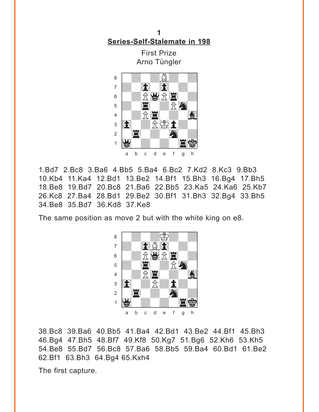<span id="page-15-0"></span>**1 [Series-Self-Stalemate in 198](#page-7-0)**

> First Prize Arno Tüngler



1.Bd7 2.Bc8 3.Ba6 4.Bb5 5.Ba4 6.Bc2 7.Kd2 8.Kc3 9.Bb3 10.Kb4 11.Ka4 12.Bd1 13.Be2 14.Bf1 15.Bh3 16.Bg4 17.Bh5 18.Be8 19.Bd7 20.Bc8 21.Ba6 22.Bb5 23.Ka5 24.Ka6 25.Kb7 26.Kc8 27.Ba4 28.Bd1 29.Be2 30.Bf1 31.Bh3 32.Bg4 33.Bh5 34.Be8 35.Bd7 36.Kd8 37.Ke8

The same position as move 2 but with the white king on e8.



38.Bc8 39.Ba6 40.Bb5 41.Ba4 42.Bd1 43.Be2 44.Bf1 45.Bh3 46.Bg4 47.Bh5 48.Bf7 49.Kf8 50.Kg7 51.Bg6 52.Kh6 53.Kh5 54.Be8 55.Bd7 56.Bc8 57.Ba6 58.Bb5 59.Ba4 60.Bd1 61.Be2 62.Bf1 63.Bh3 64.Bg4 65.Kxh4

The first capture.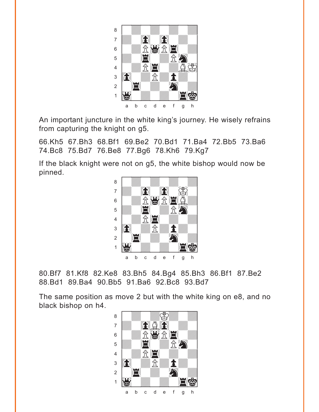

An important juncture in the white king's journey. He wisely refrains from capturing the knight on g5.

66.Kh5 67.Bh3 68.Bf1 69.Be2 70.Bd1 71.Ba4 72.Bb5 73.Ba6 74.Bc8 75.Bd7 76.Be8 77.Bg6 78.Kh6 79.Kg7

If the black knight were not on g5, the white bishop would now be pinned. with the set of the set of the set of the set of the set of the set of the set of the set of the set of the set of the set of the set of the set of the set of the set of the set of the set of the set of the set of the set



80.Bf7 81.Kf8 82.Ke8 83.Bh5 84.Bg4 85.Bh3 86.Bf1 87.Be2 88.Bd1 89.Ba4 90.Bb5 91.Ba6 92.Bc8 93.Bd7

The same position as move 2 but with the white king on e8, and no black bishop on h4. with the set of the set of the set of the set of the set of the set of the set of the set of the set of the set of the set of the set of the set of the set of the set of the set of the set of the set of the set of the set

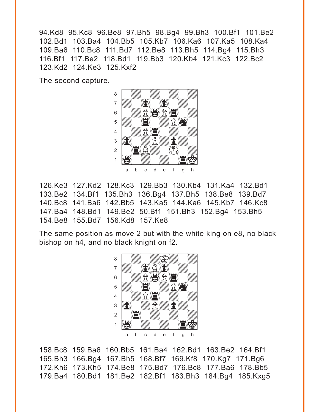94.Kd8 95.Kc8 96.Be8 97.Bh5 98.Bg4 99.Bh3 100.Bf1 101.Be2 102.Bd1 103.Ba4 104.Bb5 105.Kb7 106.Ka6 107.Ka5 108.Ka4 109.Ba6 110.Bc8 111.Bd7 112.Be8 113.Bh5 114.Bg4 115.Bh3 116.Bf1 117.Be2 118.Bd1 119.Bb3 120.Kb4 121.Kc3 122.Bc2 123.Kd2 124.Ke3 125.Kxf2

The second capture.



126.Ke3 127.Kd2 128.Kc3 129.Bb3 130.Kb4 131.Ka4 132.Bd1 133.Be2 134.Bf1 135.Bh3 136.Bg4 137.Bh5 138.Be8 139.Bd7 140.Bc8 141.Ba6 142.Bb5 143.Ka5 144.Ka6 145.Kb7 146.Kc8 147.Ba4 148.Bd1 149.Be2 50.Bf1 151.Bh3 152.Bg4 153.Bh5 154.Be8 155.Bd7 156.Kd8 157.Ke8

The same position as move 2 but with the white king on e8, no black bishop on h4, and no black knight on f2.



158.Bc8 159.Ba6 160.Bb5 161.Ba4 162.Bd1 163.Be2 164.Bf1 165.Bh3 166.Bg4 167.Bh5 168.Bf7 169.Kf8 170.Kg7 171.Bg6 172.Kh6 173.Kh5 174.Be8 175.Bd7 176.Bc8 177.Ba6 178.Bb5 179.Ba4 180.Bd1 181.Be2 182.Bf1 183.Bh3 184.Bg4 185.Kxg5